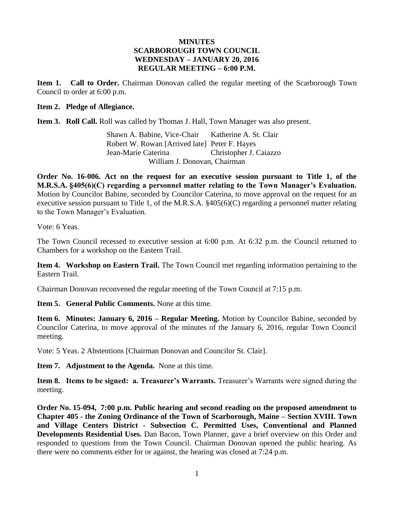### **MINUTES SCARBOROUGH TOWN COUNCIL WEDNESDAY – JANUARY 20, 2016 REGULAR MEETING – 6:00 P.M.**

**Item 1. Call to Order.** Chairman Donovan called the regular meeting of the Scarborough Town Council to order at 6:00 p.m.

#### **Item 2. Pledge of Allegiance.**

**Item 3. Roll Call.** Roll was called by Thomas J. Hall, Town Manager was also present.

Shawn A. Babine, Vice-Chair Katherine A. St. Clair Robert W. Rowan [Arrived late] Peter F. Hayes Jean-Marie Caterina Christopher J. Caiazzo William J. Donovan, Chairman

**Order No. 16-006. Act on the request for an executive session pursuant to Title 1, of the M.R.S.A. §405(6)(C) regarding a personnel matter relating to the Town Manager's Evaluation.** Motion by Councilor Babine, seconded by Councilor Caterina, to move approval on the request for an executive session pursuant to Title 1, of the M.R.S.A. §405(6)(C) regarding a personnel matter relating to the Town Manager's Evaluation.

Vote: 6 Yeas.

The Town Council recessed to executive session at 6:00 p.m. At 6:32 p.m. the Council returned to Chambers for a workshop on the Eastern Trail.

**Item 4. Workshop on Eastern Trail.** The Town Council met regarding information pertaining to the Eastern Trail.

Chairman Donovan reconvened the regular meeting of the Town Council at 7:15 p.m.

**Item 5. General Public Comments.** None at this time.

**Item 6. Minutes: January 6, 2016 – Regular Meeting.** Motion by Councilor Babine, seconded by Councilor Caterina, to move approval of the minutes of the January 6, 2016, regular Town Council meeting.

Vote: 5 Yeas. 2 Abstentions [Chairman Donovan and Councilor St. Clair].

**Item 7. Adjustment to the Agenda.** None at this time.

**Item 8. Items to be signed: a. Treasurer's Warrants.** Treasurer's Warrants were signed during the meeting.

**Order No. 15-094, 7:00 p.m. Public hearing and second reading on the proposed amendment to Chapter 405 - the Zoning Ordinance of the Town of Scarborough, Maine – Section XVIII. Town and Village Centers District - Subsection C. Permitted Uses, Conventional and Planned Developments Residential Uses.** Dan Bacon, Town Planner, gave a brief overview on this Order and responded to questions from the Town Council. Chairman Donovan opened the public hearing. As there were no comments either for or against, the hearing was closed at 7:24 p.m.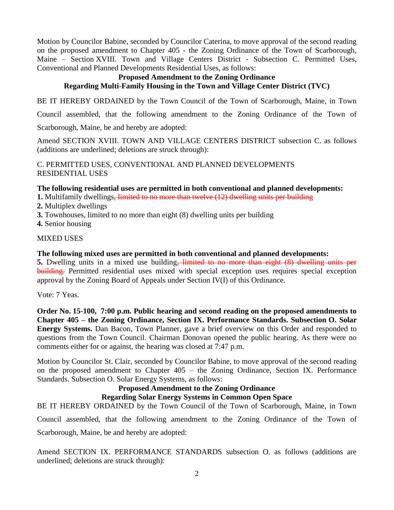Motion by Councilor Babine, seconded by Councilor Caterina, to move approval of the second reading on the proposed amendment to Chapter 405 - the Zoning Ordinance of the Town of Scarborough, Maine – Section XVIII. Town and Village Centers District - Subsection C. Permitted Uses, Conventional and Planned Developments Residential Uses, as follows:

#### **Proposed Amendment to the Zoning Ordinance Regarding Multi-Family Housing in the Town and Village Center District (TVC)**

BE IT HEREBY ORDAINED by the Town Council of the Town of Scarborough, Maine, in Town

Council assembled, that the following amendment to the Zoning Ordinance of the Town of

Scarborough, Maine, be and hereby are adopted:

Amend SECTION XVIII. TOWN AND VILLAGE CENTERS DISTRICT subsection C. as follows (additions are underlined; deletions are struck through):

C. PERMITTED USES, CONVENTIONAL AND PLANNED DEVELOPMENTS RESIDENTIAL USES

## **The following residential uses are permitted in both conventional and planned developments:**

**1.** Multifamily dwellings, limited to no more than twelve (12) dwelling units per building

- **2.** Multiplex dwellings
- **3.** Townhouses, limited to no more than eight (8) dwelling units per building
- **4.** Senior housing

### MIXED USES

### **The following mixed uses are permitted in both conventional and planned developments:**

**5.** Dwelling units in a mixed use building, limited to no more than eight (8) dwelling units per building. Permitted residential uses mixed with special exception uses requires special exception approval by the Zoning Board of Appeals under Section IV(I) of this Ordinance.

Vote: 7 Yeas.

**Order No. 15-100, 7:00 p.m. Public hearing and second reading on the proposed amendments to Chapter 405 – the Zoning Ordinance, Section IX. Performance Standards. Subsection O. Solar Energy Systems.** Dan Bacon, Town Planner, gave a brief overview on this Order and responded to questions from the Town Council. Chairman Donovan opened the public hearing. As there were no comments either for or against, the hearing was closed at 7:47 p.m.

Motion by Councilor St. Clair, seconded by Councilor Babine, to move approval of the second reading on the proposed amendment to Chapter 405 – the Zoning Ordinance, Section IX. Performance Standards. Subsection O. Solar Energy Systems, as follows:

# **Proposed Amendment to the Zoning Ordinance**

# **Regarding Solar Energy Systems in Common Open Space**

BE IT HEREBY ORDAINED by the Town Council of the Town of Scarborough, Maine, in Town Council assembled, that the following amendment to the Zoning Ordinance of the Town of

Scarborough, Maine, be and hereby are adopted:

Amend SECTION IX. PERFORMANCE STANDARDS subsection O. as follows (additions are underlined; deletions are struck through):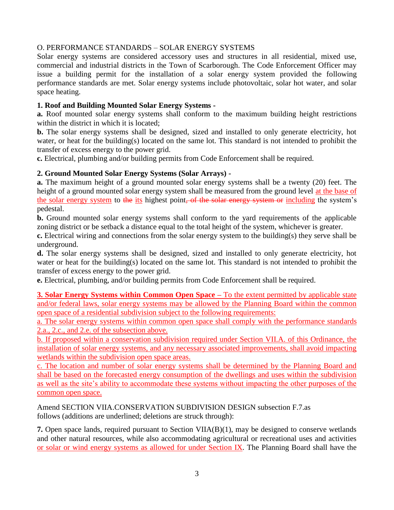### O. PERFORMANCE STANDARDS – SOLAR ENERGY SYSTEMS

Solar energy systems are considered accessory uses and structures in all residential, mixed use, commercial and industrial districts in the Town of Scarborough. The Code Enforcement Officer may issue a building permit for the installation of a solar energy system provided the following performance standards are met. Solar energy systems include photovoltaic, solar hot water, and solar space heating.

### **1. Roof and Building Mounted Solar Energy Systems -**

**a.** Roof mounted solar energy systems shall conform to the maximum building height restrictions within the district in which it is located;

**b.** The solar energy systems shall be designed, sized and installed to only generate electricity, hot water, or heat for the building(s) located on the same lot. This standard is not intended to prohibit the transfer of excess energy to the power grid.

**c.** Electrical, plumbing and/or building permits from Code Enforcement shall be required.

### **2. Ground Mounted Solar Energy Systems (Solar Arrays) -**

**a.** The maximum height of a ground mounted solar energy systems shall be a twenty (20) feet. The height of a ground mounted solar energy system shall be measured from the ground level at the base of the solar energy system to the its highest point. of the solar energy system or including the system's pedestal.

**b.** Ground mounted solar energy systems shall conform to the yard requirements of the applicable zoning district or be setback a distance equal to the total height of the system, whichever is greater.

**c.** Electrical wiring and connections from the solar energy system to the building(s) they serve shall be underground.

**d.** The solar energy systems shall be designed, sized and installed to only generate electricity, hot water or heat for the building(s) located on the same lot. This standard is not intended to prohibit the transfer of excess energy to the power grid.

**e.** Electrical, plumbing, and/or building permits from Code Enforcement shall be required.

**3. Solar Energy Systems within Common Open Space –** To the extent permitted by applicable state and/or federal laws, solar energy systems may be allowed by the Planning Board within the common open space of a residential subdivision subject to the following requirements:

a. The solar energy systems within common open space shall comply with the performance standards 2.a., 2.c., and 2.e. of the subsection above.

b. If proposed within a conservation subdivision required under Section VII.A. of this Ordinance, the installation of solar energy systems, and any necessary associated improvements, shall avoid impacting wetlands within the subdivision open space areas.

c. The location and number of solar energy systems shall be determined by the Planning Board and shall be based on the forecasted energy consumption of the dwellings and uses within the subdivision as well as the site's ability to accommodate these systems without impacting the other purposes of the common open space.

Amend SECTION VIIA.CONSERVATION SUBDIVISION DESIGN subsection F.7.as follows (additions are underlined; deletions are struck through):

**7.** Open space lands, required pursuant to Section VIIA(B)(1), may be designed to conserve wetlands and other natural resources, while also accommodating agricultural or recreational uses and activities or solar or wind energy systems as allowed for under Section IX. The Planning Board shall have the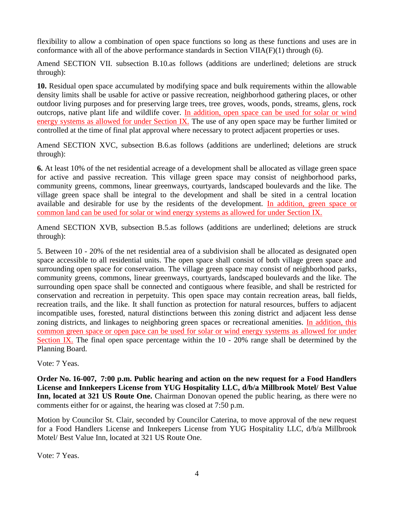flexibility to allow a combination of open space functions so long as these functions and uses are in conformance with all of the above performance standards in Section VIIA(F)(1) through (6).

Amend SECTION VII. subsection B.10.as follows (additions are underlined; deletions are struck through):

**10.** Residual open space accumulated by modifying space and bulk requirements within the allowable density limits shall be usable for active or passive recreation, neighborhood gathering places, or other outdoor living purposes and for preserving large trees, tree groves, woods, ponds, streams, glens, rock outcrops, native plant life and wildlife cover. In addition, open space can be used for solar or wind energy systems as allowed for under Section IX. The use of any open space may be further limited or controlled at the time of final plat approval where necessary to protect adjacent properties or uses.

Amend SECTION XVC, subsection B.6.as follows (additions are underlined; deletions are struck through):

**6.** At least 10% of the net residential acreage of a development shall be allocated as village green space for active and passive recreation. This village green space may consist of neighborhood parks, community greens, commons, linear greenways, courtyards, landscaped boulevards and the like. The village green space shall be integral to the development and shall be sited in a central location available and desirable for use by the residents of the development. In addition, green space or common land can be used for solar or wind energy systems as allowed for under Section IX.

Amend SECTION XVB, subsection B.5.as follows (additions are underlined; deletions are struck through):

5. Between 10 - 20% of the net residential area of a subdivision shall be allocated as designated open space accessible to all residential units. The open space shall consist of both village green space and surrounding open space for conservation. The village green space may consist of neighborhood parks, community greens, commons, linear greenways, courtyards, landscaped boulevards and the like. The surrounding open space shall be connected and contiguous where feasible, and shall be restricted for conservation and recreation in perpetuity. This open space may contain recreation areas, ball fields, recreation trails, and the like. It shall function as protection for natural resources, buffers to adjacent incompatible uses, forested, natural distinctions between this zoning district and adjacent less dense zoning districts, and linkages to neighboring green spaces or recreational amenities. In addition, this common green space or open pace can be used for solar or wind energy systems as allowed for under Section IX. The final open space percentage within the 10 - 20% range shall be determined by the Planning Board.

Vote: 7 Yeas.

**Order No. 16-007, 7:00 p.m. Public hearing and action on the new request for a Food Handlers License and Innkeepers License from YUG Hospitality LLC, d/b/a Millbrook Motel/ Best Value Inn, located at 321 US Route One.** Chairman Donovan opened the public hearing, as there were no comments either for or against, the hearing was closed at 7:50 p.m.

Motion by Councilor St. Clair, seconded by Councilor Caterina, to move approval of the new request for a Food Handlers License and Innkeepers License from YUG Hospitality LLC, d/b/a Millbrook Motel/ Best Value Inn, located at 321 US Route One.

Vote: 7 Yeas.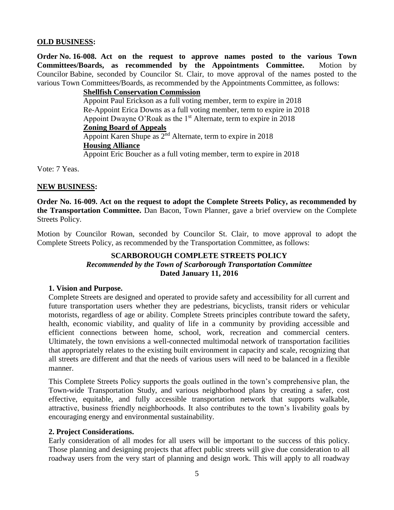### **OLD BUSINESS:**

**Order No. 16-008. Act on the request to approve names posted to the various Town Committees/Boards, as recommended by the Appointments Committee.** Motion by Councilor Babine, seconded by Councilor St. Clair, to move approval of the names posted to the various Town Committees/Boards, as recommended by the Appointments Committee, as follows:

> **Shellfish Conservation Commission** Appoint Paul Erickson as a full voting member, term to expire in 2018 Re-Appoint Erica Downs as a full voting member, term to expire in 2018 Appoint Dwayne O'Roak as the  $1<sup>st</sup>$  Alternate, term to expire in 2018 **Zoning Board of Appeals** Appoint Karen Shupe as  $2<sup>nd</sup>$  Alternate, term to expire in 2018 **Housing Alliance** Appoint Eric Boucher as a full voting member, term to expire in 2018

Vote: 7 Yeas.

#### **NEW BUSINESS:**

**Order No. 16-009. Act on the request to adopt the Complete Streets Policy, as recommended by the Transportation Committee.** Dan Bacon, Town Planner, gave a brief overview on the Complete Streets Policy.

Motion by Councilor Rowan, seconded by Councilor St. Clair, to move approval to adopt the Complete Streets Policy, as recommended by the Transportation Committee, as follows:

### **SCARBOROUGH COMPLETE STREETS POLICY** *Recommended by the Town of Scarborough Transportation Committee* **Dated January 11, 2016**

### **1. Vision and Purpose.**

Complete Streets are designed and operated to provide safety and accessibility for all current and future transportation users whether they are pedestrians, bicyclists, transit riders or vehicular motorists, regardless of age or ability. Complete Streets principles contribute toward the safety, health, economic viability, and quality of life in a community by providing accessible and efficient connections between home, school, work, recreation and commercial centers. Ultimately, the town envisions a well-connected multimodal network of transportation facilities that appropriately relates to the existing built environment in capacity and scale, recognizing that all streets are different and that the needs of various users will need to be balanced in a flexible manner.

This Complete Streets Policy supports the goals outlined in the town's comprehensive plan, the Town-wide Transportation Study, and various neighborhood plans by creating a safer, cost effective, equitable, and fully accessible transportation network that supports walkable, attractive, business friendly neighborhoods. It also contributes to the town's livability goals by encouraging energy and environmental sustainability.

### **2. Project Considerations.**

Early consideration of all modes for all users will be important to the success of this policy. Those planning and designing projects that affect public streets will give due consideration to all roadway users from the very start of planning and design work. This will apply to all roadway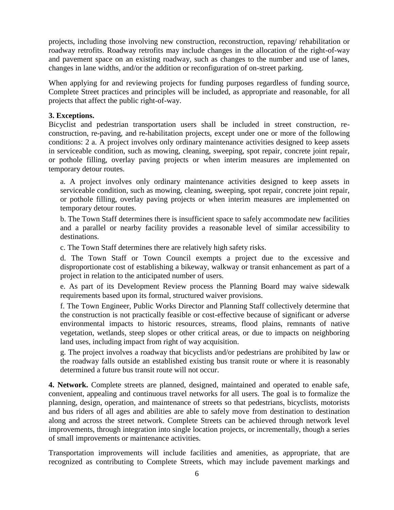projects, including those involving new construction, reconstruction, repaving/ rehabilitation or roadway retrofits. Roadway retrofits may include changes in the allocation of the right-of-way and pavement space on an existing roadway, such as changes to the number and use of lanes, changes in lane widths, and/or the addition or reconfiguration of on-street parking.

When applying for and reviewing projects for funding purposes regardless of funding source, Complete Street practices and principles will be included, as appropriate and reasonable, for all projects that affect the public right-of-way.

### **3. Exceptions.**

Bicyclist and pedestrian transportation users shall be included in street construction, reconstruction, re-paving, and re-habilitation projects, except under one or more of the following conditions: 2 a. A project involves only ordinary maintenance activities designed to keep assets in serviceable condition, such as mowing, cleaning, sweeping, spot repair, concrete joint repair, or pothole filling, overlay paving projects or when interim measures are implemented on temporary detour routes.

a. A project involves only ordinary maintenance activities designed to keep assets in serviceable condition, such as mowing, cleaning, sweeping, spot repair, concrete joint repair, or pothole filling, overlay paving projects or when interim measures are implemented on temporary detour routes.

b. The Town Staff determines there is insufficient space to safely accommodate new facilities and a parallel or nearby facility provides a reasonable level of similar accessibility to destinations.

c. The Town Staff determines there are relatively high safety risks.

d. The Town Staff or Town Council exempts a project due to the excessive and disproportionate cost of establishing a bikeway, walkway or transit enhancement as part of a project in relation to the anticipated number of users.

e. As part of its Development Review process the Planning Board may waive sidewalk requirements based upon its formal, structured waiver provisions.

f. The Town Engineer, Public Works Director and Planning Staff collectively determine that the construction is not practically feasible or cost-effective because of significant or adverse environmental impacts to historic resources, streams, flood plains, remnants of native vegetation, wetlands, steep slopes or other critical areas, or due to impacts on neighboring land uses, including impact from right of way acquisition.

g. The project involves a roadway that bicyclists and/or pedestrians are prohibited by law or the roadway falls outside an established existing bus transit route or where it is reasonably determined a future bus transit route will not occur.

**4. Network.** Complete streets are planned, designed, maintained and operated to enable safe, convenient, appealing and continuous travel networks for all users. The goal is to formalize the planning, design, operation, and maintenance of streets so that pedestrians, bicyclists, motorists and bus riders of all ages and abilities are able to safely move from destination to destination along and across the street network. Complete Streets can be achieved through network level improvements, through integration into single location projects, or incrementally, though a series of small improvements or maintenance activities.

Transportation improvements will include facilities and amenities, as appropriate, that are recognized as contributing to Complete Streets, which may include pavement markings and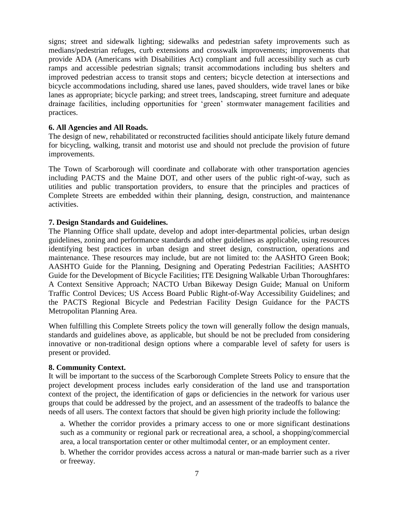signs; street and sidewalk lighting; sidewalks and pedestrian safety improvements such as medians/pedestrian refuges, curb extensions and crosswalk improvements; improvements that provide ADA (Americans with Disabilities Act) compliant and full accessibility such as curb ramps and accessible pedestrian signals; transit accommodations including bus shelters and improved pedestrian access to transit stops and centers; bicycle detection at intersections and bicycle accommodations including, shared use lanes, paved shoulders, wide travel lanes or bike lanes as appropriate; bicycle parking; and street trees, landscaping, street furniture and adequate drainage facilities, including opportunities for 'green' stormwater management facilities and practices.

### **6. All Agencies and All Roads.**

The design of new, rehabilitated or reconstructed facilities should anticipate likely future demand for bicycling, walking, transit and motorist use and should not preclude the provision of future improvements.

The Town of Scarborough will coordinate and collaborate with other transportation agencies including PACTS and the Maine DOT, and other users of the public right-of-way, such as utilities and public transportation providers, to ensure that the principles and practices of Complete Streets are embedded within their planning, design, construction, and maintenance activities.

### **7. Design Standards and Guidelines.**

The Planning Office shall update, develop and adopt inter-departmental policies, urban design guidelines, zoning and performance standards and other guidelines as applicable, using resources identifying best practices in urban design and street design, construction, operations and maintenance. These resources may include, but are not limited to: the AASHTO Green Book; AASHTO Guide for the Planning, Designing and Operating Pedestrian Facilities; AASHTO Guide for the Development of Bicycle Facilities; ITE Designing Walkable Urban Thoroughfares: A Context Sensitive Approach; NACTO Urban Bikeway Design Guide; Manual on Uniform Traffic Control Devices; US Access Board Public Right-of-Way Accessibility Guidelines; and the PACTS Regional Bicycle and Pedestrian Facility Design Guidance for the PACTS Metropolitan Planning Area.

When fulfilling this Complete Streets policy the town will generally follow the design manuals, standards and guidelines above, as applicable, but should be not be precluded from considering innovative or non-traditional design options where a comparable level of safety for users is present or provided.

### **8. Community Context.**

It will be important to the success of the Scarborough Complete Streets Policy to ensure that the project development process includes early consideration of the land use and transportation context of the project, the identification of gaps or deficiencies in the network for various user groups that could be addressed by the project, and an assessment of the tradeoffs to balance the needs of all users. The context factors that should be given high priority include the following:

a. Whether the corridor provides a primary access to one or more significant destinations such as a community or regional park or recreational area, a school, a shopping/commercial area, a local transportation center or other multimodal center, or an employment center.

b. Whether the corridor provides access across a natural or man-made barrier such as a river or freeway.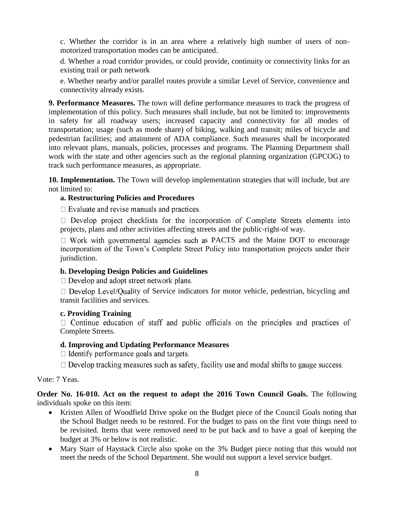c. Whether the corridor is in an area where a relatively high number of users of nonmotorized transportation modes can be anticipated.

d. Whether a road corridor provides, or could provide, continuity or connectivity links for an existing trail or path network

e. Whether nearby and/or parallel routes provide a similar Level of Service, convenience and connectivity already exists.

**9. Performance Measures.** The town will define performance measures to track the progress of implementation of this policy. Such measures shall include, but not be limited to: improvements in safety for all roadway users; increased capacity and connectivity for all modes of transportation; usage (such as mode share) of biking, walking and transit; miles of bicycle and pedestrian facilities; and attainment of ADA compliance. Such measures shall be incorporated into relevant plans, manuals, policies, processes and programs. The Planning Department shall work with the state and other agencies such as the regional planning organization (GPCOG) to track such performance measures, as appropriate.

**10. Implementation.** The Town will develop implementation strategies that will include, but are not limited to:

### **a. Restructuring Policies and Procedures**

 $\Box$  Evaluate and revise manuals and practices.

 $\Box$  Develop project checklists for the incorporation of Complete Streets elements into projects, plans and other activities affecting streets and the public-right-of way.

 $\Box$  Work with governmental agencies such as PACTS and the Maine DOT to encourage incorporation of the Town's Complete Street Policy into transportation projects under their jurisdiction.

### **b. Developing Design Policies and Guidelines**

 $\Box$  Develop and adopt street network plans.

 $\Box$  Develop Level/Quality of Service indicators for motor vehicle, pedestrian, bicycling and transit facilities and services.

### **c. Providing Training**

 $\Box$  Continue education of staff and public officials on the principles and practices of Complete Streets.

### **d. Improving and Updating Performance Measures**

 $\Box$  Identify performance goals and targets.

 $\Box$  Develop tracking measures such as safety, facility use and modal shifts to gauge success.

Vote: 7 Yeas.

**Order No. 16-010. Act on the request to adopt the 2016 Town Council Goals.** The following individuals spoke on this item:

- Kristen Allen of Woodfield Drive spoke on the Budget piece of the Council Goals noting that the School Budget needs to be restored. For the budget to pass on the first vote things need to be revisited. Items that were removed need to be put back and to have a goal of keeping the budget at 3% or below is not realistic.
- Mary Starr of Haystack Circle also spoke on the 3% Budget piece noting that this would not meet the needs of the School Department. She would not support a level service budget.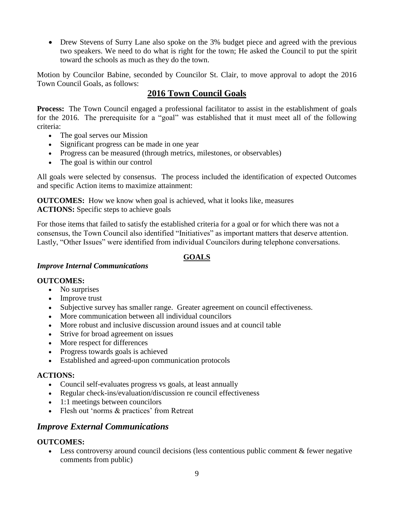• Drew Stevens of Surry Lane also spoke on the 3% budget piece and agreed with the previous two speakers. We need to do what is right for the town; He asked the Council to put the spirit toward the schools as much as they do the town.

Motion by Councilor Babine, seconded by Councilor St. Clair, to move approval to adopt the 2016 Town Council Goals, as follows:

# **2016 Town Council Goals**

**Process:** The Town Council engaged a professional facilitator to assist in the establishment of goals for the 2016. The prerequisite for a "goal" was established that it must meet all of the following criteria:

- The goal serves our Mission
- Significant progress can be made in one year
- Progress can be measured (through metrics, milestones, or observables)
- The goal is within our control

All goals were selected by consensus. The process included the identification of expected Outcomes and specific Action items to maximize attainment:

**OUTCOMES:** How we know when goal is achieved, what it looks like, measures **ACTIONS:** Specific steps to achieve goals

For those items that failed to satisfy the established criteria for a goal or for which there was not a consensus, the Town Council also identified "Initiatives" as important matters that deserve attention. Lastly, "Other Issues" were identified from individual Councilors during telephone conversations.

# **GOALS**

### *Improve Internal Communications*

### **OUTCOMES:**

- No surprises
- Improve trust
- Subjective survey has smaller range. Greater agreement on council effectiveness.
- More communication between all individual councilors
- More robust and inclusive discussion around issues and at council table
- Strive for broad agreement on issues
- More respect for differences
- Progress towards goals is achieved
- Established and agreed-upon communication protocols

### **ACTIONS:**

- Council self-evaluates progress vs goals, at least annually
- Regular check-ins/evaluation/discussion re council effectiveness
- 1:1 meetings between councilors
- Flesh out 'norms & practices' from Retreat

### *Improve External Communications*

### **OUTCOMES:**

 Less controversy around council decisions (less contentious public comment & fewer negative comments from public)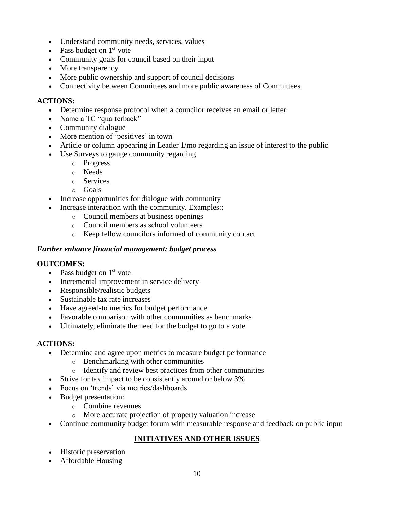- Understand community needs, services, values
- Pass budget on  $1<sup>st</sup>$  vote
- Community goals for council based on their input
- More transparency
- More public ownership and support of council decisions
- Connectivity between Committees and more public awareness of Committees

### **ACTIONS:**

- Determine response protocol when a councilor receives an email or letter
- Name a TC "quarterback"
- Community dialogue
- More mention of 'positives' in town
- Article or column appearing in Leader 1/mo regarding an issue of interest to the public
- Use Surveys to gauge community regarding
	- o Progress
	- o Needs
	- o Services
	- o Goals
- Increase opportunities for dialogue with community
- Increase interaction with the community. Examples::
	- o Council members at business openings
	- o Council members as school volunteers
	- o Keep fellow councilors informed of community contact

### *Further enhance financial management; budget process*

### **OUTCOMES:**

- Pass budget on  $1<sup>st</sup>$  vote
- Incremental improvement in service delivery
- Responsible/realistic budgets
- Sustainable tax rate increases
- Have agreed-to metrics for budget performance
- Favorable comparison with other communities as benchmarks
- Ultimately, eliminate the need for the budget to go to a vote

### **ACTIONS:**

- Determine and agree upon metrics to measure budget performance
	- o Benchmarking with other communities
	- o Identify and review best practices from other communities
- Strive for tax impact to be consistently around or below 3%
- Focus on 'trends' via metrics/dashboards
- Budget presentation:
	- o Combine revenues
	- o More accurate projection of property valuation increase
- Continue community budget forum with measurable response and feedback on public input

# **INITIATIVES AND OTHER ISSUES**

- Historic preservation
- Affordable Housing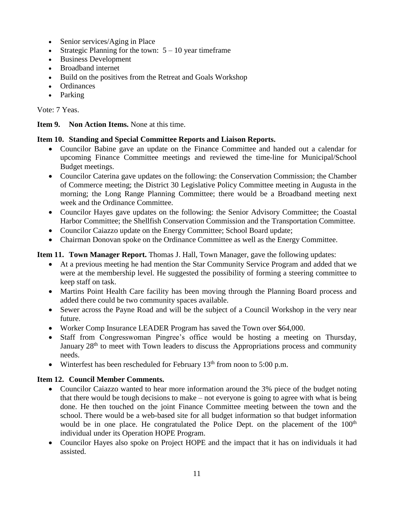- Senior services/Aging in Place
- Strategic Planning for the town:  $5 10$  year timeframe
- Business Development
- Broadband internet
- Build on the positives from the Retreat and Goals Workshop
- Ordinances
- Parking

Vote: 7 Yeas.

**Item 9. Non Action Items.** None at this time.

### **Item 10. Standing and Special Committee Reports and Liaison Reports.**

- Councilor Babine gave an update on the Finance Committee and handed out a calendar for upcoming Finance Committee meetings and reviewed the time-line for Municipal/School Budget meetings.
- Councilor Caterina gave updates on the following: the Conservation Commission; the Chamber of Commerce meeting; the District 30 Legislative Policy Committee meeting in Augusta in the morning; the Long Range Planning Committee; there would be a Broadband meeting next week and the Ordinance Committee.
- Councilor Hayes gave updates on the following: the Senior Advisory Committee; the Coastal Harbor Committee; the Shellfish Conservation Commission and the Transportation Committee.
- Councilor Caiazzo update on the Energy Committee; School Board update;
- Chairman Donovan spoke on the Ordinance Committee as well as the Energy Committee.

# **Item 11. Town Manager Report.** Thomas J. Hall, Town Manager, gave the following updates:

- At a previous meeting he had mention the Star Community Service Program and added that we were at the membership level. He suggested the possibility of forming a steering committee to keep staff on task.
- Martins Point Health Care facility has been moving through the Planning Board process and added there could be two community spaces available.
- Sewer across the Payne Road and will be the subject of a Council Workshop in the very near future.
- Worker Comp Insurance LEADER Program has saved the Town over \$64,000.
- Staff from Congresswoman Pingree's office would be hosting a meeting on Thursday, January 28<sup>th</sup> to meet with Town leaders to discuss the Appropriations process and community needs.
- Winterfest has been rescheduled for February  $13<sup>th</sup>$  from noon to 5:00 p.m.

# **Item 12. Council Member Comments.**

- Councilor Caiazzo wanted to hear more information around the 3% piece of the budget noting that there would be tough decisions to make – not everyone is going to agree with what is being done. He then touched on the joint Finance Committee meeting between the town and the school. There would be a web-based site for all budget information so that budget information would be in one place. He congratulated the Police Dept. on the placement of the 100<sup>th</sup> individual under its Operation HOPE Program.
- Councilor Hayes also spoke on Project HOPE and the impact that it has on individuals it had assisted.